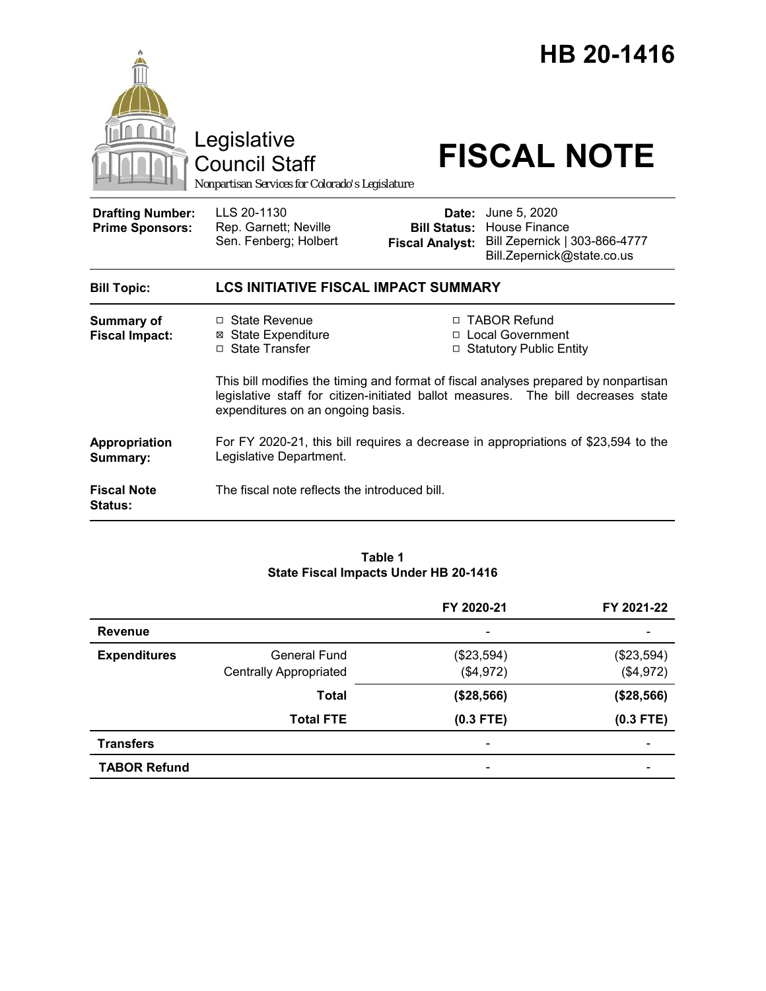

#### **Table 1 State Fiscal Impacts Under HB 20-1416**

|                     |                               | FY 2020-21                   | FY 2021-22               |
|---------------------|-------------------------------|------------------------------|--------------------------|
| <b>Revenue</b>      |                               |                              |                          |
| <b>Expenditures</b> | <b>General Fund</b>           | (\$23,594)                   | (\$23,594)               |
|                     | <b>Centrally Appropriated</b> | (\$4,972)                    | (\$4,972)                |
|                     | <b>Total</b>                  | (\$28,566)                   | (\$28,566)               |
|                     | <b>Total FTE</b>              | $(0.3$ FTE)                  | $(0.3$ FTE)              |
| <b>Transfers</b>    |                               | $\qquad \qquad \blacksquare$ | $\overline{\phantom{0}}$ |
| <b>TABOR Refund</b> |                               |                              |                          |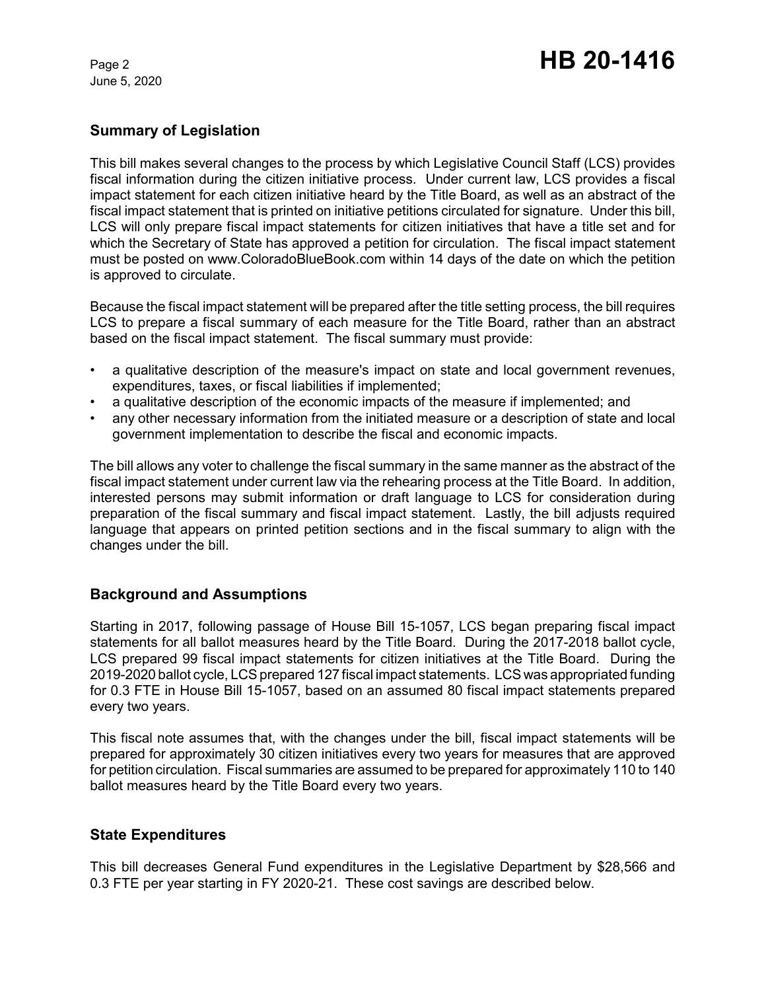June 5, 2020

# **Summary of Legislation**

This bill makes several changes to the process by which Legislative Council Staff (LCS) provides fiscal information during the citizen initiative process. Under current law, LCS provides a fiscal impact statement for each citizen initiative heard by the Title Board, as well as an abstract of the fiscal impact statement that is printed on initiative petitions circulated for signature. Under this bill, LCS will only prepare fiscal impact statements for citizen initiatives that have a title set and for which the Secretary of State has approved a petition for circulation. The fiscal impact statement must be posted on www.ColoradoBlueBook.com within 14 days of the date on which the petition is approved to circulate.

Because the fiscal impact statement will be prepared after the title setting process, the bill requires LCS to prepare a fiscal summary of each measure for the Title Board, rather than an abstract based on the fiscal impact statement. The fiscal summary must provide:

- a qualitative description of the measure's impact on state and local government revenues, expenditures, taxes, or fiscal liabilities if implemented;
- a qualitative description of the economic impacts of the measure if implemented; and
- any other necessary information from the initiated measure or a description of state and local government implementation to describe the fiscal and economic impacts.

The bill allows any voter to challenge the fiscal summary in the same manner as the abstract of the fiscal impact statement under current law via the rehearing process at the Title Board. In addition, interested persons may submit information or draft language to LCS for consideration during preparation of the fiscal summary and fiscal impact statement. Lastly, the bill adjusts required language that appears on printed petition sections and in the fiscal summary to align with the changes under the bill.

# **Background and Assumptions**

Starting in 2017, following passage of House Bill 15-1057, LCS began preparing fiscal impact statements for all ballot measures heard by the Title Board. During the 2017-2018 ballot cycle, LCS prepared 99 fiscal impact statements for citizen initiatives at the Title Board. During the 2019-2020 ballot cycle, LCS prepared 127 fiscal impact statements. LCS was appropriated funding for 0.3 FTE in House Bill 15-1057, based on an assumed 80 fiscal impact statements prepared every two years.

This fiscal note assumes that, with the changes under the bill, fiscal impact statements will be prepared for approximately 30 citizen initiatives every two years for measures that are approved for petition circulation. Fiscal summaries are assumed to be prepared for approximately 110 to 140 ballot measures heard by the Title Board every two years.

### **State Expenditures**

This bill decreases General Fund expenditures in the Legislative Department by \$28,566 and 0.3 FTE per year starting in FY 2020-21. These cost savings are described below.